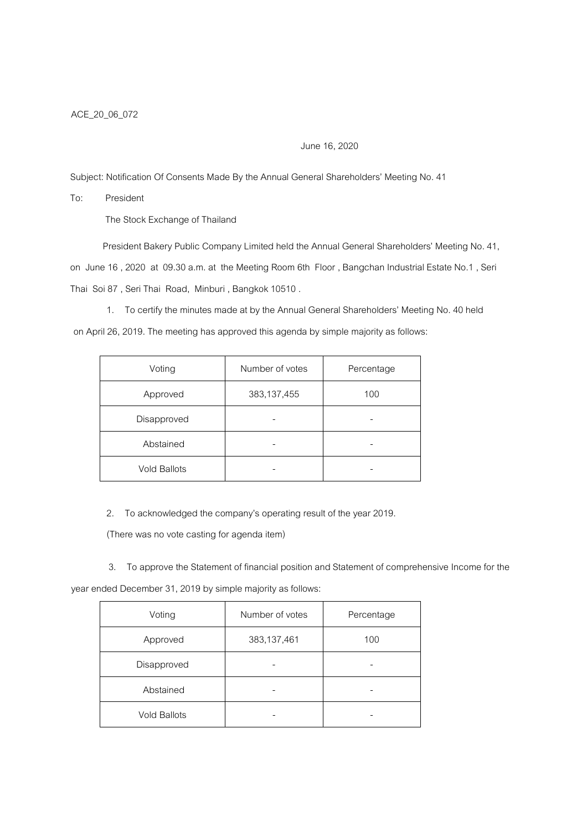## June 16, 2020

Subject: Notification Of Consents Made By the Annual General Shareholders' Meeting No. 41

To: President

The Stock Exchange of Thailand

President Bakery Public Company Limited held the Annual General Shareholders' Meeting No. 41, on June 16 , 2020 at 09.30 a.m. at the Meeting Room 6th Floor , Bangchan Industrial Estate No.1 , Seri Thai Soi 87 , Seri Thai Road, Minburi , Bangkok 10510 .

1. To certify the minutes made at by the Annual General Shareholders' Meeting No. 40 held

on April 26, 2019. The meeting has approved this agenda by simple majority as follows:

| Voting              | Number of votes | Percentage |
|---------------------|-----------------|------------|
| Approved            | 383,137,455     | 100        |
| Disapproved         |                 |            |
| Abstained           |                 |            |
| <b>Vold Ballots</b> |                 |            |

2. To acknowledged the company's operating result of the year 2019.

(There was no vote casting for agenda item)

3. To approve the Statement of financial position and Statement of comprehensive Income for the

year ended December 31, 2019 by simple majority as follows:

| Voting              | Number of votes | Percentage |
|---------------------|-----------------|------------|
| Approved            | 383,137,461     | 100        |
| Disapproved         |                 |            |
| Abstained           |                 |            |
| <b>Vold Ballots</b> |                 |            |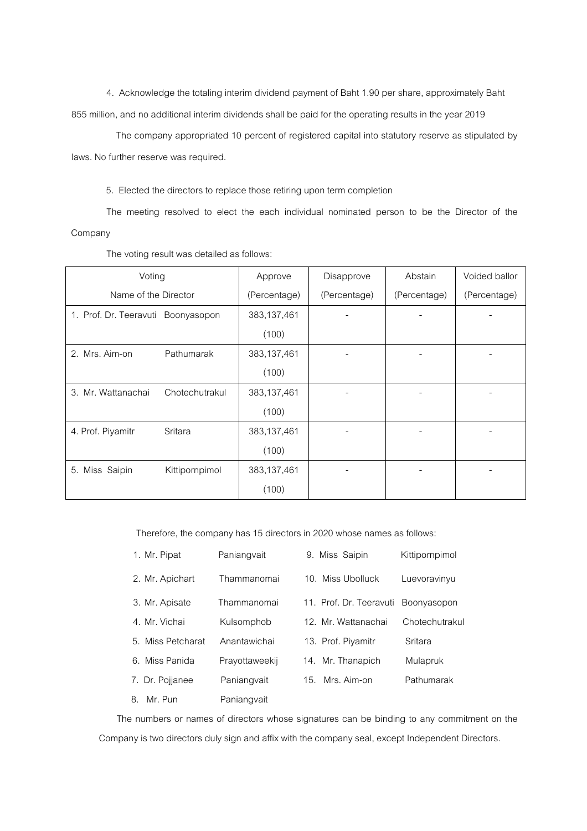4. Acknowledge the totaling interim dividend payment of Baht 1.90 per share, approximately Baht 855 million, and no additional interim dividends shall be paid for the operating results in the year 2019

 The company appropriated 10 percent of registered capital into statutory reserve as stipulated by laws. No further reserve was required.

5. Elected the directors to replace those retiring upon term completion

The meeting resolved to elect the each individual nominated person to be the Director of the Company

| Voting                             |                | Approve      | Disapprove   | Abstain      | Voided ballor |
|------------------------------------|----------------|--------------|--------------|--------------|---------------|
| Name of the Director               |                | (Percentage) | (Percentage) | (Percentage) | (Percentage)  |
| 1. Prof. Dr. Teeravuti Boonyasopon |                | 383,137,461  |              |              |               |
|                                    |                | (100)        |              |              |               |
| 2. Mrs. Aim-on                     | Pathumarak     | 383,137,461  |              |              |               |
|                                    |                | (100)        |              |              |               |
| 3. Mr. Wattanachai                 | Chotechutrakul | 383,137,461  |              |              |               |
|                                    |                | (100)        |              |              |               |
| 4. Prof. Piyamitr                  | Sritara        | 383,137,461  |              |              |               |
|                                    |                | (100)        |              |              |               |
| 5. Miss Saipin                     | Kittipornpimol | 383,137,461  |              |              |               |
|                                    |                | (100)        |              |              |               |

The voting result was detailed as follows:

Therefore, the company has 15 directors in 2020 whose names as follows:

| 1. Mr. Pipat      | Paniangvait    | 9. Miss Saipin          | Kittipornpimol |
|-------------------|----------------|-------------------------|----------------|
| 2. Mr. Apichart   | Thammanomai    | 10. Miss Ubolluck       | Luevoravinyu   |
| 3. Mr. Apisate    | Thammanomai    | 11. Prof. Dr. Teeravuti | Boonyasopon    |
| 4. Mr. Vichai     | Kulsomphob     | 12. Mr. Wattanachai     | Chotechutrakul |
| 5. Miss Petcharat | Anantawichai   | 13. Prof. Piyamitr      | Sritara        |
| 6. Miss Panida    | Prayottaweekij | 14. Mr. Thanapich       | Mulapruk       |
| 7. Dr. Pojjanee   | Paniangvait    | Mrs. Aim-on<br>15.      | Pathumarak     |
| 8. Mr. Pun        | Paniangvait    |                         |                |

The numbers or names of directors whose signatures can be binding to any commitment on the Company is two directors duly sign and affix with the company seal, except Independent Directors.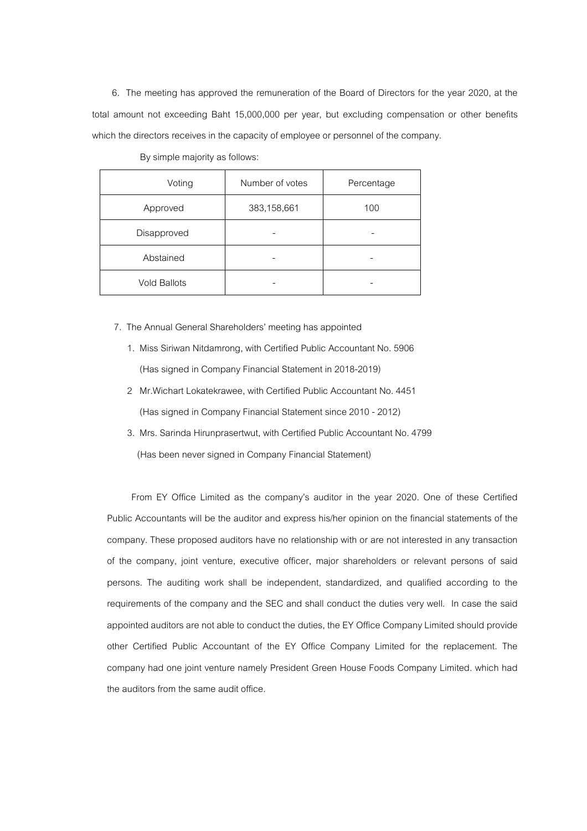6. The meeting has approved the remuneration of the Board of Directors for the year 2020, at the total amount not exceeding Baht 15,000,000 per year, but excluding compensation or other benefits which the directors receives in the capacity of employee or personnel of the company.

| Voting              | Number of votes | Percentage |
|---------------------|-----------------|------------|
| Approved            | 383,158,661     | 100        |
| Disapproved         |                 |            |
| Abstained           |                 |            |
| <b>Vold Ballots</b> |                 |            |

By simple majority as follows:

- 7. The Annual General Shareholders' meeting has appointed
	- 1. Miss Siriwan Nitdamrong, with Certified Public Accountant No. 5906 (Has signed in Company Financial Statement in 2018-2019)
	- 2 Mr.Wichart Lokatekrawee, with Certified Public Accountant No. 4451 (Has signed in Company Financial Statement since 2010 - 2012)
	- 3. Mrs. Sarinda Hirunprasertwut, with Certified Public Accountant No. 4799 (Has been never signed in Company Financial Statement)

 From EY Office Limited as the company%s auditor in the year 2020. One of these Certified Public Accountants will be the auditor and express his/her opinion on the financial statements of the company. These proposed auditors have no relationship with or are not interested in any transaction of the company, joint venture, executive officer, major shareholders or relevant persons of said persons. The auditing work shall be independent, standardized, and qualified according to the requirements of the company and the SEC and shall conduct the duties very well. In case the said appointed auditors are not able to conduct the duties, the EY Office Company Limited should provide other Certified Public Accountant of the EY Office Company Limited for the replacement. The company had one joint venture namely President Green House Foods Company Limited. which had the auditors from the same audit office.